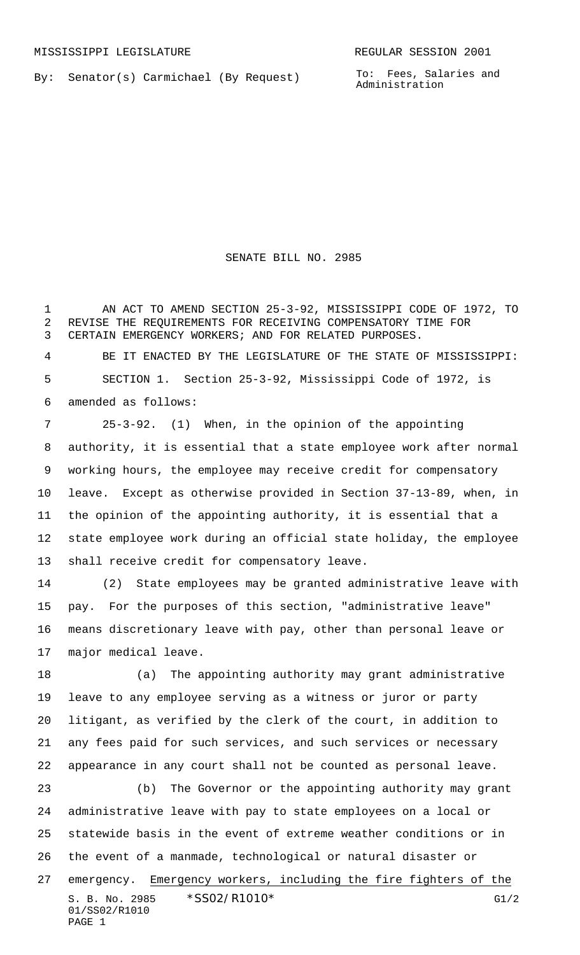By: Senator(s) Carmichael (By Request)

To: Fees, Salaries and Administration

SENATE BILL NO. 2985

 AN ACT TO AMEND SECTION 25-3-92, MISSISSIPPI CODE OF 1972, TO REVISE THE REQUIREMENTS FOR RECEIVING COMPENSATORY TIME FOR CERTAIN EMERGENCY WORKERS; AND FOR RELATED PURPOSES.

 BE IT ENACTED BY THE LEGISLATURE OF THE STATE OF MISSISSIPPI: SECTION 1. Section 25-3-92, Mississippi Code of 1972, is amended as follows:

 25-3-92. (1) When, in the opinion of the appointing authority, it is essential that a state employee work after normal working hours, the employee may receive credit for compensatory leave. Except as otherwise provided in Section 37-13-89, when, in the opinion of the appointing authority, it is essential that a state employee work during an official state holiday, the employee shall receive credit for compensatory leave.

 (2) State employees may be granted administrative leave with pay. For the purposes of this section, "administrative leave" means discretionary leave with pay, other than personal leave or major medical leave.

 (a) The appointing authority may grant administrative leave to any employee serving as a witness or juror or party litigant, as verified by the clerk of the court, in addition to any fees paid for such services, and such services or necessary appearance in any court shall not be counted as personal leave.

S. B. No. 2985 \* SSO2/R1010\* G1/2 01/SS02/R1010 PAGE 1 (b) The Governor or the appointing authority may grant administrative leave with pay to state employees on a local or statewide basis in the event of extreme weather conditions or in the event of a manmade, technological or natural disaster or emergency. Emergency workers, including the fire fighters of the